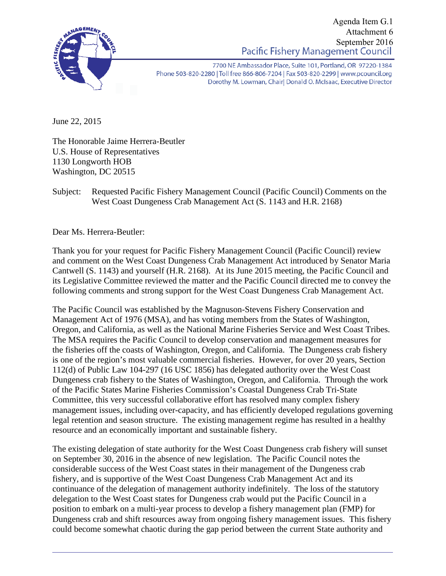

Agenda Item G.1 Attachment 6 **September 2016**<br>Pacific Fishery Management Council

7700 NE Ambassador Place, Suite 101, Portland, OR 97220-1384 Phone 503-820-2280 | Toll free 866-806-7204 | Fax 503-820-2299 | www.pcouncil.org Dorothy M. Lowman, Chair| Donald O. McIsaac, Executive Director

June 22, 2015

The Honorable Jaime Herrera-Beutler U.S. House of Representatives 1130 Longworth HOB Washington, DC 20515

## Subject: Requested Pacific Fishery Management Council (Pacific Council) Comments on the West Coast Dungeness Crab Management Act (S. 1143 and H.R. 2168)

Dear Ms. Herrera-Beutler:

Thank you for your request for Pacific Fishery Management Council (Pacific Council) review and comment on the West Coast Dungeness Crab Management Act introduced by Senator Maria Cantwell (S. 1143) and yourself (H.R. 2168). At its June 2015 meeting, the Pacific Council and its Legislative Committee reviewed the matter and the Pacific Council directed me to convey the following comments and strong support for the West Coast Dungeness Crab Management Act.

The Pacific Council was established by the Magnuson-Stevens Fishery Conservation and Management Act of 1976 (MSA), and has voting members from the States of Washington, Oregon, and California, as well as the National Marine Fisheries Service and West Coast Tribes. The MSA requires the Pacific Council to develop conservation and management measures for the fisheries off the coasts of Washington, Oregon, and California. The Dungeness crab fishery is one of the region's most valuable commercial fisheries. However, for over 20 years, Section 112(d) of Public Law 104-297 (16 USC 1856) has delegated authority over the West Coast Dungeness crab fishery to the States of Washington, Oregon, and California. Through the work of the Pacific States Marine Fisheries Commission's Coastal Dungeness Crab Tri-State Committee, this very successful collaborative effort has resolved many complex fishery management issues, including over-capacity, and has efficiently developed regulations governing legal retention and season structure. The existing management regime has resulted in a healthy resource and an economically important and sustainable fishery.

The existing delegation of state authority for the West Coast Dungeness crab fishery will sunset on September 30, 2016 in the absence of new legislation. The Pacific Council notes the considerable success of the West Coast states in their management of the Dungeness crab fishery, and is supportive of the West Coast Dungeness Crab Management Act and its continuance of the delegation of management authority indefinitely. The loss of the statutory delegation to the West Coast states for Dungeness crab would put the Pacific Council in a position to embark on a multi-year process to develop a fishery management plan (FMP) for Dungeness crab and shift resources away from ongoing fishery management issues. This fishery could become somewhat chaotic during the gap period between the current State authority and